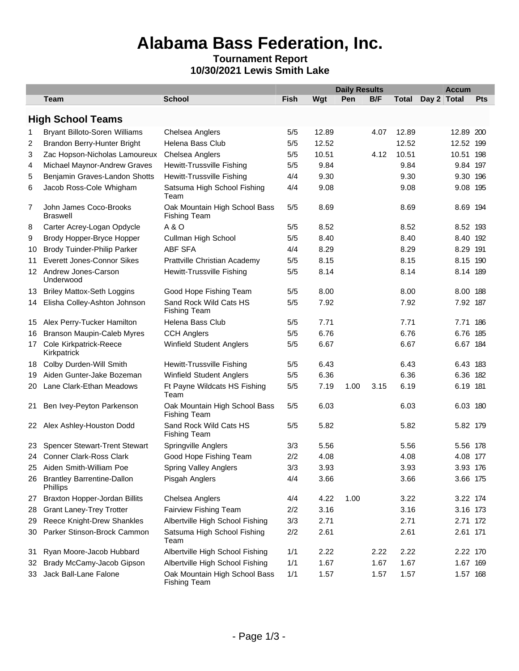# **Alabama Bass Federation, Inc.**

### **Tournament Report 10/30/2021 Lewis Smith Lake**

|     |                                               |                                                      |             | <b>Daily Results</b><br><b>Accum</b> |      |      |              |             |     |  |
|-----|-----------------------------------------------|------------------------------------------------------|-------------|--------------------------------------|------|------|--------------|-------------|-----|--|
|     | <b>Team</b>                                   | <b>School</b>                                        | <b>Fish</b> | Wgt                                  | Pen  | B/F  | <b>Total</b> | Day 2 Total | Pts |  |
|     | <b>High School Teams</b>                      |                                                      |             |                                      |      |      |              |             |     |  |
| 1   | <b>Bryant Billoto-Soren Williams</b>          | Chelsea Anglers                                      | 5/5         | 12.89                                |      | 4.07 | 12.89        | 12.89 200   |     |  |
| 2   | Brandon Berry-Hunter Bright                   | Helena Bass Club                                     | 5/5         | 12.52                                |      |      | 12.52        | 12.52 199   |     |  |
| 3   | Zac Hopson-Nicholas Lamoureux                 | Chelsea Anglers                                      | 5/5         | 10.51                                |      | 4.12 | 10.51        | 10.51 198   |     |  |
| 4   | Michael Maynor-Andrew Graves                  | Hewitt-Trussville Fishing                            | 5/5         | 9.84                                 |      |      | 9.84         | 9.84 197    |     |  |
| 5   | Benjamin Graves-Landon Shotts                 | <b>Hewitt-Trussville Fishing</b>                     | 4/4         | 9.30                                 |      |      | 9.30         | 9.30 196    |     |  |
| 6   | Jacob Ross-Cole Whigham                       | Satsuma High School Fishing<br>Team                  | 4/4         | 9.08                                 |      |      | 9.08         | 9.08 195    |     |  |
| 7   | John James Coco-Brooks<br><b>Braswell</b>     | Oak Mountain High School Bass<br><b>Fishing Team</b> | 5/5         | 8.69                                 |      |      | 8.69         | 8.69 194    |     |  |
| 8   | Carter Acrey-Logan Opdycle                    | A&O                                                  | 5/5         | 8.52                                 |      |      | 8.52         | 8.52 193    |     |  |
| 9   | Brody Hopper-Bryce Hopper                     | Cullman High School                                  | 5/5         | 8.40                                 |      |      | 8.40         | 8.40 192    |     |  |
| 10  | <b>Brody Tuinder-Philip Parker</b>            | <b>ABF SFA</b>                                       | 4/4         | 8.29                                 |      |      | 8.29         | 8.29 191    |     |  |
| 11  | <b>Everett Jones-Connor Sikes</b>             | Prattville Christian Academy                         | 5/5         | 8.15                                 |      |      | 8.15         | 8.15 190    |     |  |
|     | 12 Andrew Jones-Carson<br>Underwood           | <b>Hewitt-Trussville Fishing</b>                     | 5/5         | 8.14                                 |      |      | 8.14         | 8.14 189    |     |  |
| 13  | <b>Briley Mattox-Seth Loggins</b>             | Good Hope Fishing Team                               | 5/5         | 8.00                                 |      |      | 8.00         | 8.00        | 188 |  |
| 14  | Elisha Colley-Ashton Johnson                  | Sand Rock Wild Cats HS<br><b>Fishing Team</b>        | 5/5         | 7.92                                 |      |      | 7.92         | 7.92 187    |     |  |
| 15  | Alex Perry-Tucker Hamilton                    | Helena Bass Club                                     | 5/5         | 7.71                                 |      |      | 7.71         | 7.71        | 186 |  |
| 16  | <b>Branson Maupin-Caleb Myres</b>             | <b>CCH Anglers</b>                                   | 5/5         | 6.76                                 |      |      | 6.76         | 6.76 185    |     |  |
| 17  | <b>Cole Kirkpatrick-Reece</b><br>Kirkpatrick  | Winfield Student Anglers                             | 5/5         | 6.67                                 |      |      | 6.67         | 6.67 184    |     |  |
| 18  | Colby Durden-Will Smith                       | Hewitt-Trussville Fishing                            | 5/5         | 6.43                                 |      |      | 6.43         | 6.43 183    |     |  |
| 19  | Aiden Gunter-Jake Bozeman                     | Winfield Student Anglers                             | 5/5         | 6.36                                 |      |      | 6.36         | 6.36 182    |     |  |
| 20  | Lane Clark-Ethan Meadows                      | Ft Payne Wildcats HS Fishing<br>Team                 | 5/5         | 7.19                                 | 1.00 | 3.15 | 6.19         | 6.19 181    |     |  |
| 21  | Ben Ivey-Peyton Parkenson                     | Oak Mountain High School Bass<br><b>Fishing Team</b> | 5/5         | 6.03                                 |      |      | 6.03         | 6.03 180    |     |  |
|     | 22 Alex Ashley-Houston Dodd                   | Sand Rock Wild Cats HS<br><b>Fishing Team</b>        | 5/5         | 5.82                                 |      |      | 5.82         | 5.82 179    |     |  |
| 23. | <b>Spencer Stewart-Trent Stewart</b>          | Springville Anglers                                  | 3/3         | 5.56                                 |      |      | 5.56         | 5.56 178    |     |  |
|     | 24 Conner Clark-Ross Clark                    | Good Hope Fishing Team                               | 2/2         | 4.08                                 |      |      | 4.08         | 4.08 177    |     |  |
| 25  | Aiden Smith-William Poe                       | <b>Spring Valley Anglers</b>                         | 3/3         | 3.93                                 |      |      | 3.93         | 3.93 176    |     |  |
| 26  | <b>Brantley Barrentine-Dallon</b><br>Phillips | Pisgah Anglers                                       | 4/4         | 3.66                                 |      |      | 3.66         | 3.66 175    |     |  |
| 27  | <b>Braxton Hopper-Jordan Billits</b>          | Chelsea Anglers                                      | 4/4         | 4.22                                 | 1.00 |      | 3.22         | 3.22 174    |     |  |
| 28  | <b>Grant Laney-Trey Trotter</b>               | Fairview Fishing Team                                | 2/2         | 3.16                                 |      |      | 3.16         | 3.16 173    |     |  |
| 29  | Reece Knight-Drew Shankles                    | Albertville High School Fishing                      | 3/3         | 2.71                                 |      |      | 2.71         | 2.71 172    |     |  |
| 30  | Parker Stinson-Brock Cammon                   | Satsuma High School Fishing<br>Team                  | 2/2         | 2.61                                 |      |      | 2.61         | 2.61 171    |     |  |
| 31  | Ryan Moore-Jacob Hubbard                      | Albertville High School Fishing                      | 1/1         | 2.22                                 |      | 2.22 | 2.22         | 2.22 170    |     |  |
| 32  | Brady McCamy-Jacob Gipson                     | Albertville High School Fishing                      | 1/1         | 1.67                                 |      | 1.67 | 1.67         | 1.67 169    |     |  |
| 33  | Jack Ball-Lane Falone                         | Oak Mountain High School Bass<br><b>Fishing Team</b> | 1/1         | 1.57                                 |      | 1.57 | 1.57         | 1.57 168    |     |  |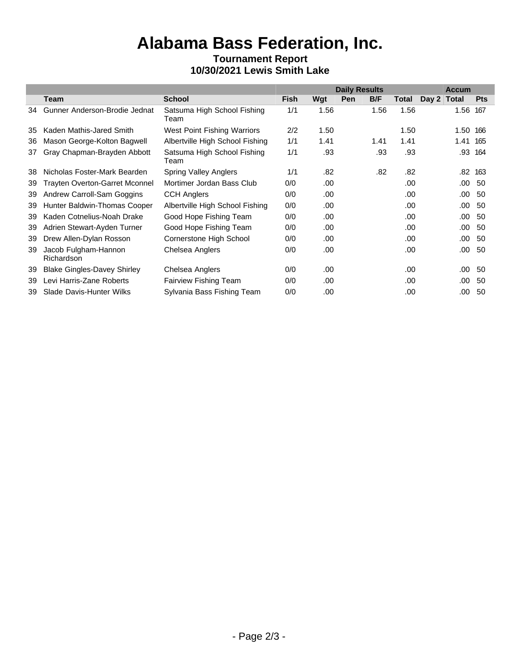# **Alabama Bass Federation, Inc.**

### **Tournament Report 10/30/2021 Lewis Smith Lake**

|    |                                       |                                     | <b>Daily Results</b> |      |     |      |       | <b>Accum</b> |      |            |
|----|---------------------------------------|-------------------------------------|----------------------|------|-----|------|-------|--------------|------|------------|
|    | Team                                  | <b>School</b>                       | Fish                 | Wgt  | Pen | B/F  | Total | Day 2 Total  |      | <b>Pts</b> |
| 34 | Gunner Anderson-Brodie Jednat         | Satsuma High School Fishing<br>Team | 1/1                  | 1.56 |     | 1.56 | 1.56  |              | 1.56 | 167        |
| 35 | Kaden Mathis-Jared Smith              | West Point Fishing Warriors         | 2/2                  | 1.50 |     |      | 1.50  |              | 1.50 | 166        |
| 36 | Mason George-Kolton Bagwell           | Albertville High School Fishing     | 1/1                  | 1.41 |     | 1.41 | 1.41  |              | 1.41 | 165        |
| 37 | Gray Chapman-Brayden Abbott           | Satsuma High School Fishing<br>Team | 1/1                  | .93  |     | .93  | .93   |              | .93  | 164        |
| 38 | Nicholas Foster-Mark Bearden          | <b>Spring Valley Anglers</b>        | 1/1                  | .82  |     | .82  | .82   |              | .82  | 163        |
| 39 | <b>Trayten Overton-Garret Mconnel</b> | Mortimer Jordan Bass Club           | 0/0                  | .00. |     |      | .00.  |              | .00  | -50        |
| 39 | Andrew Carroll-Sam Goggins            | <b>CCH Anglers</b>                  | 0/0                  | .00  |     |      | .00   |              | .00. | 50         |
| 39 | Hunter Baldwin-Thomas Cooper          | Albertville High School Fishing     | 0/0                  | .00  |     |      | .00   |              | .00  | 50         |
| 39 | Kaden Cotnelius-Noah Drake            | Good Hope Fishing Team              | 0/0                  | .00  |     |      | .00   |              | .00  | 50         |
| 39 | Adrien Stewart-Ayden Turner           | Good Hope Fishing Team              | 0/0                  | .00  |     |      | .00   |              | .00  | 50         |
| 39 | Drew Allen-Dylan Rosson               | Cornerstone High School             | 0/0                  | .00  |     |      | .00   |              | .00. | 50         |
| 39 | Jacob Fulgham-Hannon<br>Richardson    | Chelsea Anglers                     | 0/0                  | .00  |     |      | .00   |              | .00  | 50         |
| 39 | <b>Blake Gingles-Davey Shirley</b>    | Chelsea Anglers                     | 0/0                  | .00  |     |      | .00   |              | .00  | -50        |
| 39 | Levi Harris-Zane Roberts              | <b>Fairview Fishing Team</b>        | 0/0                  | .00. |     |      | .00   |              | .00  | -50        |
| 39 | Slade Davis-Hunter Wilks              | Sylvania Bass Fishing Team          | 0/0                  | .00  |     |      | .00   |              | .00  | 50         |